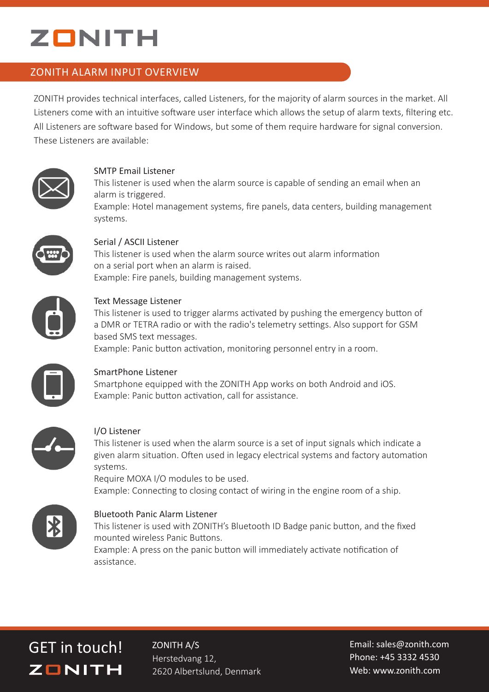# ZONITH

# ZONITH ALARM INPUT OVERVIEW

ZONITH provides technical interfaces, called Listeners, for the majority of alarm sources in the market. All Listeners come with an intuitive software user interface which allows the setup of alarm texts, filtering etc. All Listeners are software based for Windows, but some of them require hardware for signal conversion. These Listeners are available:



#### SMTP Email Listener

This listener is used when the alarm source is capable of sending an email when an alarm is triggered.

Example: Hotel management systems, fire panels, data centers, building management systems.



# Serial / ASCII Listener

This listener is used when the alarm source writes out alarm information on a serial port when an alarm is raised. Example: Fire panels, building management systems.



# Text Message Listener

This listener is used to trigger alarms activated by pushing the emergency button of a DMR or TETRA radio or with the radio's telemetry settings. Also support for GSM based SMS text messages.

Example: Panic button activation, monitoring personnel entry in a room.



# SmartPhone Listener

Smartphone equipped with the ZONITH App works on both Android and iOS. Example: Panic button activation, call for assistance.



# I/O Listener

This listener is used when the alarm source is a set of input signals which indicate a given alarm situation. Often used in legacy electrical systems and factory automation systems.

Require MOXA I/O modules to be used. Example: Connecting to closing contact of wiring in the engine room of a ship.



# Bluetooth Panic Alarm Listener

This listener is used with ZONITH's Bluetooth ID Badge panic button, and the fixed mounted wireless Panic Buttons.

Example: A press on the panic button will immediately activate notification of assistance.

# GET in touch! ZONITH A/S **ZONITH**

Herstedvang 12, 2620 Albertslund, Denmark

Email: sales@zonith.com Phone: +45 3332 4530 Web: www.zonith.com